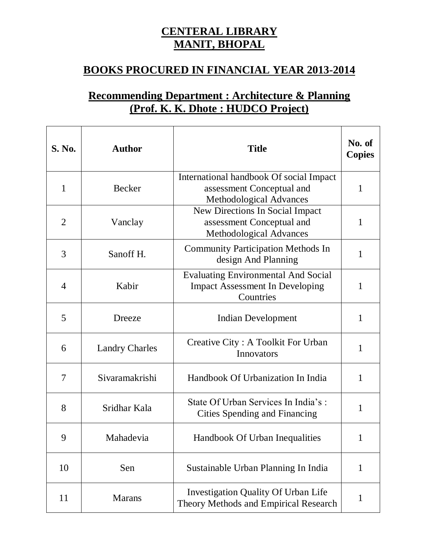## **CENTERAL LIBRARY MANIT, BHOPAL**

## **BOOKS PROCURED IN FINANCIAL YEAR 2013-2014**

## **Recommending Department : Architecture & Planning (Prof. K. K. Dhote : HUDCO Project)**

| S. No.       | <b>Author</b>         | <b>Title</b>                                                                                      | No. of<br><b>Copies</b> |
|--------------|-----------------------|---------------------------------------------------------------------------------------------------|-------------------------|
| $\mathbf{1}$ | <b>Becker</b>         | International handbook Of social Impact<br>assessment Conceptual and<br>Methodological Advances   | $\mathbf{1}$            |
| 2            | Vanclay               | New Directions In Social Impact<br>assessment Conceptual and<br><b>Methodological Advances</b>    | 1                       |
| 3            | Sanoff H.             | <b>Community Participation Methods In</b><br>design And Planning                                  | 1                       |
| 4            | Kabir                 | <b>Evaluating Environmental And Social</b><br><b>Impact Assessment In Developing</b><br>Countries | $\mathbf{1}$            |
| 5            | Dreeze                | <b>Indian Development</b>                                                                         | 1                       |
| 6            | <b>Landry Charles</b> | Creative City: A Toolkit For Urban<br>Innovators                                                  | $\mathbf{1}$            |
| 7            | Sivaramakrishi        | Handbook Of Urbanization In India                                                                 | 1                       |
| 8            | Sridhar Kala          | State Of Urban Services In India's:<br>Cities Spending and Financing                              | 1                       |
| 9            | Mahadevia             | Handbook Of Urban Inequalities                                                                    | $\mathbf{1}$            |
| 10           | Sen                   | Sustainable Urban Planning In India                                                               | $\mathbf{1}$            |
| 11           | <b>Marans</b>         | <b>Investigation Quality Of Urban Life</b><br>Theory Methods and Empirical Research               | $\mathbf{1}$            |